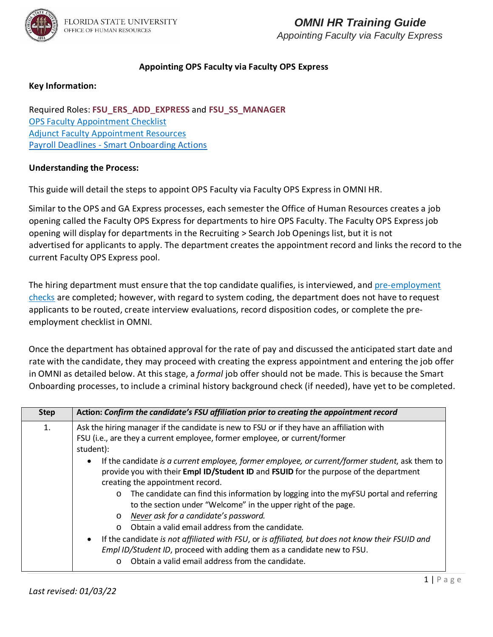

### **Appointing OPS Faculty via Faculty OPS Express**

### **Key Information:**

Required Roles: **FSU\_ERS\_ADD\_EXPRESS** and **FSU\_SS\_MANAGER** [OPS Faculty Appointment Checklist](https://hr.fsu.edu/pdf/forms/FACOPSEmploymentChecklist.pdf) [Adjunct Faculty Appointment Resources](https://fda.fsu.edu/faculty-employment/appointments/adjunct-visiting-in-lieu-of-adjunct) Payroll Deadlines - [Smart Onboarding Actions](https://hr.fsu.edu/communications/calendars)

### **Understanding the Process:**

This guide will detail the steps to appoint OPS Faculty via Faculty OPS Express in OMNI HR.

Similar to the OPS and GA Express processes, each semester the Office of Human Resources creates a job opening called the Faculty OPS Express for departments to hire OPS Faculty. The Faculty OPS Express job opening will display for departments in the Recruiting > Search Job Openings list, but it is not advertised for applicants to apply. The department creates the appointment record and links the record to the current Faculty OPS Express pool.

The hiring department must ensure that the top candidate qualifies, is interviewed, and [pre-employment](https://hr.fsu.edu/?page=ers/confirm_qualifications)  [checks](https://hr.fsu.edu/?page=ers/confirm_qualifications) are completed; however, with regard to system coding, the department does not have to request applicants to be routed, create interview evaluations, record disposition codes, or complete the preemployment checklist in OMNI.

Once the department has obtained approval for the rate of pay and discussed the anticipated start date and rate with the candidate, they may proceed with creating the express appointment and entering the job offer in OMNI as detailed below. At this stage, a *formal* job offer should not be made. This is because the Smart Onboarding processes, to include a criminal history background check (if needed), have yet to be completed.  

| <b>Step</b> | Action: Confirm the candidate's FSU affiliation prior to creating the appointment record                                                                                                                                                                                                                                                                                                                                                                                                                                                                                                                                                                                                                                                                                                                                                                                                                        |
|-------------|-----------------------------------------------------------------------------------------------------------------------------------------------------------------------------------------------------------------------------------------------------------------------------------------------------------------------------------------------------------------------------------------------------------------------------------------------------------------------------------------------------------------------------------------------------------------------------------------------------------------------------------------------------------------------------------------------------------------------------------------------------------------------------------------------------------------------------------------------------------------------------------------------------------------|
| 1.          | Ask the hiring manager if the candidate is new to FSU or if they have an affiliation with<br>FSU (i.e., are they a current employee, former employee, or current/former<br>student):<br>If the candidate is a current employee, former employee, or current/former student, ask them to<br>$\bullet$<br>provide you with their Empl ID/Student ID and FSUID for the purpose of the department<br>creating the appointment record.<br>The candidate can find this information by logging into the myFSU portal and referring<br>$\circ$<br>to the section under "Welcome" in the upper right of the page.<br>o Never ask for a candidate's password.<br>Obtain a valid email address from the candidate.<br>$\Omega$<br>If the candidate is not affiliated with FSU, or is affiliated, but does not know their FSUID and<br>$\bullet$<br>Empl ID/Student ID, proceed with adding them as a candidate new to FSU. |
|             | Obtain a valid email address from the candidate.                                                                                                                                                                                                                                                                                                                                                                                                                                                                                                                                                                                                                                                                                                                                                                                                                                                                |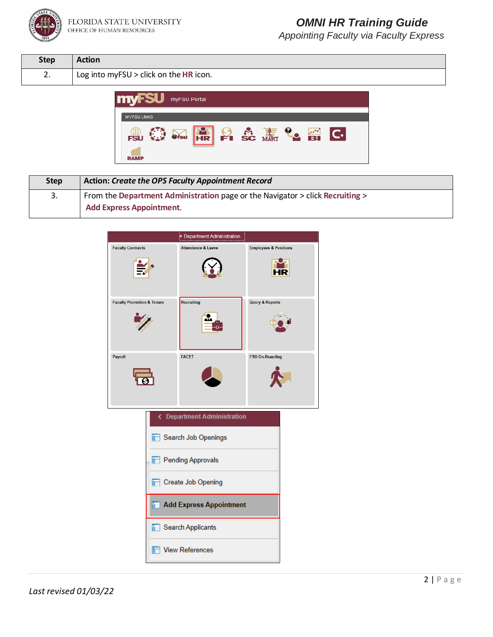

| <b>Step</b>                          | <b>Action</b>                            |
|--------------------------------------|------------------------------------------|
| $\overline{\phantom{a}}$<br><u>.</u> | Log into myFSU $>$ click on the HR icon. |



| <b>Step</b> | <b>Action: Create the OPS Faculty Appointment Record</b>                      |
|-------------|-------------------------------------------------------------------------------|
| 3.          | From the Department Administration page or the Navigator > click Recruiting > |
|             | <b>Add Express Appointment.</b>                                               |

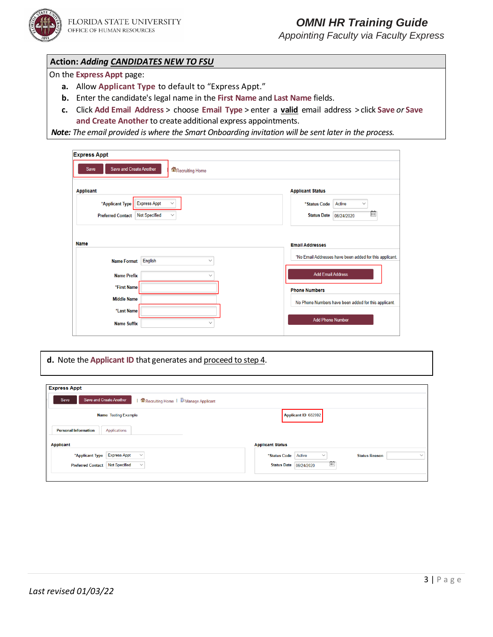*Appointing Faculty via Faculty Express*

### **Action:** *Adding CANDIDATES NEW TO FSU*

On the **Express Appt** page:

- **a.** Allow **Applicant Type** to default to "Express Appt."
- **b.** Enter the candidate's legal name in the **First Name** and **Last Name** fields.
- **c.** Click **Add Email Address** > choose **Email Type** > enter a **valid** email address > click **Save** *or* **Save and Create Another** to create additional express appointments.

 *Note: The email provided is where the Smart Onboarding invitation will be sent later in the process.*

| <b>Express Appt</b>                                              |                                                                                   |
|------------------------------------------------------------------|-----------------------------------------------------------------------------------|
| <b>Save and Create Another</b><br>Save<br>Recruiting Home        |                                                                                   |
| <b>Applicant</b>                                                 | <b>Applicant Status</b>                                                           |
| <b>Express Appt</b><br>*Applicant Type                           | Active<br>*Status Code<br>$\checkmark$                                            |
| <b>Not Specified</b><br><b>Preferred Contact</b><br>$\checkmark$ | 曲<br><b>Status Date</b><br>06/24/2020                                             |
| <b>Name</b><br>English<br><b>Name Format</b><br>$\checkmark$     | <b>Email Addresses</b><br>*No Email Addresses have been added for this applicant. |
| <b>Name Prefix</b><br>$\checkmark$                               | <b>Add Email Address</b>                                                          |
| *First Name                                                      | <b>Phone Numbers</b>                                                              |
| <b>Middle Name</b>                                               | No Phone Numbers have been added for this applicant.                              |
| *Last Name<br><b>Name Suffix</b><br>$\checkmark$                 | <b>Add Phone Number</b>                                                           |
|                                                                  |                                                                                   |

#### **d.** Note the **Applicant ID** that generates and proceed to step 4.

| Applicant ID 682002                                                            |
|--------------------------------------------------------------------------------|
|                                                                                |
|                                                                                |
|                                                                                |
| <b>Applicant Status</b>                                                        |
| Active<br>*Status Code<br><b>Status Reason</b><br>$\checkmark$<br>$\checkmark$ |
| 茴<br><b>Status Date 06/24/2020</b>                                             |
|                                                                                |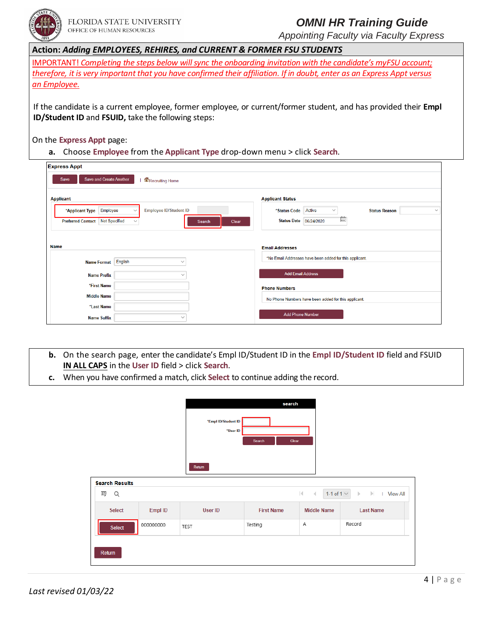

*Appointing Faculty via Faculty Express*

| <b>Action: Adding EMPLOYEES, REHIRES, and CURRENT &amp; FORMER FSU STUDENTS</b>                                         |
|-------------------------------------------------------------------------------------------------------------------------|
| IMPORTANT! Completing the steps below will sync the onboarding invitation with the candidate's myFSU account;           |
| therefore, it is very important that you have confirmed their affiliation. If in doubt, enter as an Express Appt versus |
| an Employee.                                                                                                            |
|                                                                                                                         |

 If the candidate is a current employee, former employee, or current/former student, and has provided their **Empl ID/Student ID** and **FSUID,** take the following steps:

On the **Express Appt** page:

**a.** Choose **Employee** from the **Applicant Type** drop-down menu > click **Search**.

| <b>Express Appt</b>                              |                               |                 |                                                         |                                      |
|--------------------------------------------------|-------------------------------|-----------------|---------------------------------------------------------|--------------------------------------|
| <b>Save and Create Another</b><br>Save           | Recruiting Home               |                 |                                                         |                                      |
| <b>Applicant</b>                                 |                               |                 | <b>Applicant Status</b>                                 |                                      |
| Employee<br>*Applicant Type                      | <b>Employee ID/Student ID</b> |                 | Active<br>*Status Code<br>$\checkmark$                  | <b>Status Reason</b><br>$\checkmark$ |
| <b>Not Specified</b><br><b>Preferred Contact</b> | $\checkmark$                  | Search<br>Clear | 薗<br><b>Status Date</b><br>06/24/2020                   |                                      |
|                                                  |                               |                 |                                                         |                                      |
| <b>Name</b>                                      |                               |                 | <b>Email Addresses</b>                                  |                                      |
| <b>Name Format</b>                               | English<br>$\checkmark$       |                 | *No Email Addresses have been added for this applicant. |                                      |
| <b>Name Prefix</b>                               | $\checkmark$                  |                 | <b>Add Email Address</b>                                |                                      |
| *First Name                                      |                               |                 | <b>Phone Numbers</b>                                    |                                      |
| <b>Middle Name</b>                               |                               |                 | No Phone Numbers have been added for this applicant.    |                                      |
| *Last Name                                       |                               |                 |                                                         |                                      |
| <b>Name Suffix</b>                               | $\checkmark$                  |                 | <b>Add Phone Number</b>                                 |                                      |

- **b.** On the search page, enter the candidate's Empl ID/Student ID in the **Empl ID/Student ID** field and FSUID **IN ALL CAPS** in the **User ID** field > click **Search**.
- **c.** When you have confirmed a match, click **Select** to continue adding the record.

|                       |           |                                           | search            |                                                |                                                                        |
|-----------------------|-----------|-------------------------------------------|-------------------|------------------------------------------------|------------------------------------------------------------------------|
|                       |           | *Empl ID/Student ID<br>*User ID<br>Return | Clear<br>Search   |                                                |                                                                        |
| <b>Search Results</b> |           |                                           |                   |                                                |                                                                        |
| 羁<br>Q                |           |                                           |                   | $ \cdot $<br>1-1 of 1 $\vee$<br>$\overline{4}$ | $\left\vert \cdot\right\vert$<br><b>View All</b><br>$\mathbb{D}$<br>п. |
| <b>Select</b>         | Empl ID   | User ID                                   | <b>First Name</b> | <b>Middle Name</b>                             | <b>Last Name</b>                                                       |
| Select                | 000000000 | TEST                                      | Testing           | А                                              | Record                                                                 |
| Return                |           |                                           |                   |                                                |                                                                        |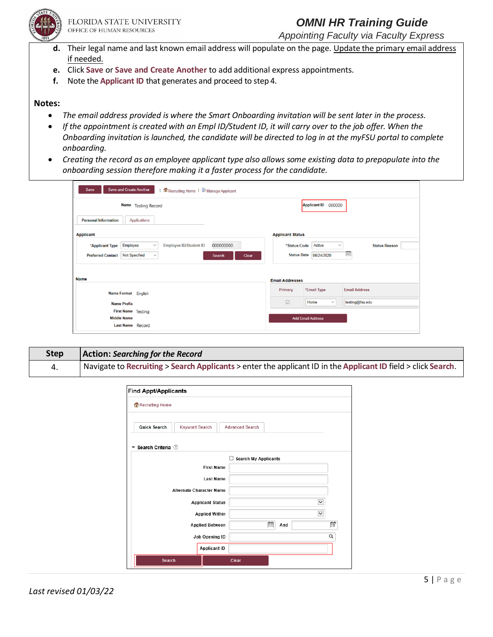

*Appointing Faculty via Faculty Express*

- **d.** Their legal name and last known email address will populate on the page. Update the primary email address if needed.
- **e.** Click **Save** or **Save and Create Another** to add additional express appointments.
- **f.** Note the **Applicant ID** that generates and proceed to step 4.

#### **Notes:**

- *The email address provided is where the Smart Onboarding invitation will be sent later in the process.*
- *If the appointment is created with an Empl ID/Student ID, it will carry over to the job offer. When the Onboarding invitation is launched, the candidate will be directed to log in at the myFSU portal to complete onboarding.*
- *Creating the record as an employee applicant type also allows some existing data to prepopulate into the onboarding session therefore making it a faster process for the candidate.*

| <b>Save and Create Another</b><br>Save<br>Recruiting Home   & Manage Applicant            |                                                                |
|-------------------------------------------------------------------------------------------|----------------------------------------------------------------|
| Name Testing Record                                                                       | Applicant ID 000000                                            |
| <b>Personal Information</b><br><b>Applications</b>                                        |                                                                |
| <b>Applicant</b>                                                                          | <b>Applicant Status</b>                                        |
| Employee<br><b>Employee ID/Student ID</b><br>000000000<br>*Applicant Type<br>$\checkmark$ | Active<br>*Status Code<br><b>Status Reason</b><br>$\checkmark$ |
| <b>Not Specified</b><br><b>Preferred Contact</b><br>$\checkmark$<br>Clear<br>Search       | 曲<br><b>Status Date</b><br>06/24/2020                          |
|                                                                                           |                                                                |
| <b>Name</b>                                                                               | <b>Email Addresses</b>                                         |
| Name Format English                                                                       | *Email Type<br><b>Email Address</b><br>Primary                 |
| <b>Name Prefix</b>                                                                        | $\triangleright$<br>testing@fsu.edu<br>Home<br>$\checkmark$    |
| First Name Testing                                                                        |                                                                |
| <b>Middle Name</b><br>Last Name Record                                                    | <b>Add Email Address</b>                                       |

**Step Action:** *Searching for the Record*  4. Navigate to **Recruiting** > **Search Applicants** > enter the applicant ID in the**ApplicantID** field > click **Search**.

| Recruiting Home                                |                                 |                   |                                  |              |
|------------------------------------------------|---------------------------------|-------------------|----------------------------------|--------------|
|                                                |                                 |                   |                                  |              |
| <b>Quick Search</b>                            | <b>Keyword Search</b>           |                   | <b>Advanced Search</b>           |              |
| $\blacktriangledown$ Search Criteria $\oslash$ |                                 |                   |                                  |              |
|                                                |                                 |                   | □<br><b>Search My Applicants</b> |              |
|                                                |                                 | <b>First Name</b> |                                  |              |
|                                                |                                 | <b>Last Name</b>  |                                  |              |
|                                                | <b>Alternate Character Name</b> |                   |                                  |              |
|                                                | <b>Applicant Status</b>         |                   |                                  | $\checkmark$ |
|                                                | <b>Applied Within</b>           |                   |                                  | $\check{~}$  |
|                                                | <b>Applied Between</b>          |                   | 繭<br>And                         | 蕨            |
|                                                | Job Opening ID                  |                   |                                  | Q            |
|                                                | <b>Applicant ID</b>             |                   |                                  |              |
|                                                |                                 |                   |                                  |              |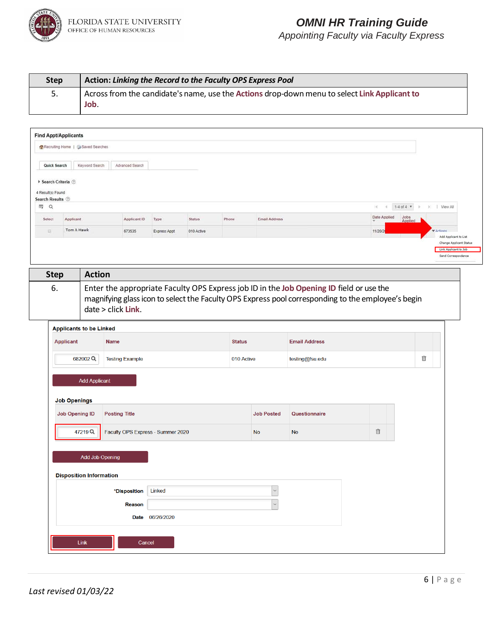

| <b>Step</b> | Action: Linking the Record to the Faculty OPS Express Pool                                           |
|-------------|------------------------------------------------------------------------------------------------------|
| 5.          | Across from the candidate's name, use the Actions drop-down menu to select Link Applicant to<br>Job. |

| Quick Search<br>4 Result(s) Found<br>Search Results 2<br>lliβ Q<br>Select | Recruiting Home   G Saved Searches<br>▶ Search Criteria ⑦ | Keyword Search<br>Advanced Search |                      |               |               |                               |                                                                                                    |                        |                                                  |  |
|---------------------------------------------------------------------------|-----------------------------------------------------------|-----------------------------------|----------------------|---------------|---------------|-------------------------------|----------------------------------------------------------------------------------------------------|------------------------|--------------------------------------------------|--|
|                                                                           |                                                           |                                   |                      |               |               |                               |                                                                                                    |                        |                                                  |  |
|                                                                           |                                                           |                                   |                      |               |               |                               |                                                                                                    |                        |                                                  |  |
|                                                                           |                                                           |                                   |                      |               |               |                               |                                                                                                    |                        |                                                  |  |
|                                                                           |                                                           |                                   |                      |               |               |                               |                                                                                                    |                        |                                                  |  |
|                                                                           |                                                           |                                   |                      |               |               |                               |                                                                                                    | $\mathbb{R}$<br>$\sim$ |                                                  |  |
|                                                                           | Applicant                                                 | Applicant ID                      |                      | <b>Status</b> | Phone         | <b>Email Address</b>          |                                                                                                    | Date Applied           | Jobs                                             |  |
| 亚                                                                         | Tom A Hawk                                                | 673535                            | Type<br>Express Appt | 010 Active    |               |                               |                                                                                                    | 11/20/2                | Applied<br><b>WArtinna</b>                       |  |
|                                                                           |                                                           |                                   |                      |               |               |                               |                                                                                                    |                        | Add Applicant to List<br>Change Applicant Status |  |
|                                                                           |                                                           |                                   |                      |               |               |                               |                                                                                                    |                        | Link Applicant to Job                            |  |
|                                                                           |                                                           |                                   |                      |               |               |                               |                                                                                                    |                        | Send Correspondence                              |  |
| <b>Step</b>                                                               |                                                           | <b>Action</b>                     |                      |               |               |                               |                                                                                                    |                        |                                                  |  |
| 6.                                                                        |                                                           |                                   |                      |               |               |                               | Enter the appropriate Faculty OPS Express job ID in the Job Opening ID field or use the            |                        |                                                  |  |
|                                                                           |                                                           |                                   |                      |               |               |                               | magnifying glass icon to select the Faculty OPS Express pool corresponding to the employee's begin |                        |                                                  |  |
|                                                                           |                                                           | date > click Link.                |                      |               |               |                               |                                                                                                    |                        |                                                  |  |
|                                                                           |                                                           |                                   |                      |               |               |                               |                                                                                                    |                        |                                                  |  |
|                                                                           | <b>Applicants to be Linked</b>                            |                                   |                      |               |               |                               |                                                                                                    |                        |                                                  |  |
|                                                                           | <b>Applicant</b>                                          | <b>Name</b>                       |                      |               | <b>Status</b> |                               | <b>Email Address</b>                                                                               |                        |                                                  |  |
|                                                                           | 682002Q                                                   | <b>Testing Example</b>            |                      |               |               | 010 Active<br>testing@fsu.edu |                                                                                                    |                        | û                                                |  |
|                                                                           |                                                           |                                   |                      |               |               |                               |                                                                                                    |                        |                                                  |  |
|                                                                           |                                                           |                                   |                      |               |               |                               |                                                                                                    |                        |                                                  |  |
|                                                                           |                                                           | <b>Add Applicant</b>              |                      |               |               |                               |                                                                                                    |                        |                                                  |  |
|                                                                           |                                                           |                                   |                      |               |               |                               |                                                                                                    |                        |                                                  |  |
|                                                                           | <b>Job Openings</b>                                       |                                   |                      |               |               |                               |                                                                                                    |                        |                                                  |  |
|                                                                           | <b>Job Opening ID</b>                                     | <b>Posting Title</b>              |                      |               |               | <b>Job Posted</b>             | Questionnaire                                                                                      |                        |                                                  |  |
|                                                                           |                                                           |                                   |                      |               |               |                               |                                                                                                    |                        |                                                  |  |
|                                                                           | 47219Q                                                    | Faculty OPS Express - Summer 2020 |                      |               |               | <b>No</b>                     | <b>No</b>                                                                                          | 宜                      |                                                  |  |
|                                                                           |                                                           |                                   |                      |               |               |                               |                                                                                                    |                        |                                                  |  |
|                                                                           |                                                           | Add Job Opening                   |                      |               |               |                               |                                                                                                    |                        |                                                  |  |
|                                                                           |                                                           |                                   |                      |               |               |                               |                                                                                                    |                        |                                                  |  |
|                                                                           | <b>Disposition Information</b>                            |                                   |                      |               |               |                               |                                                                                                    |                        |                                                  |  |
|                                                                           |                                                           | *Disposition                      | Linked               |               |               | $\checkmark$                  |                                                                                                    |                        |                                                  |  |
|                                                                           |                                                           | <b>Reason</b>                     |                      |               |               | $\checkmark$                  |                                                                                                    |                        |                                                  |  |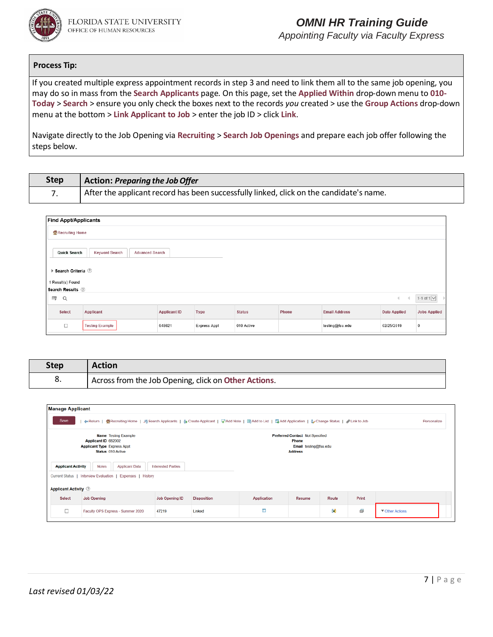

*Appointing Faculty via Faculty Express*

#### **Process Tip:**

If you created multiple express appointment records in step 3 and need to link them all to the same job opening, you may do so in mass from the **Search Applicants** page. On this page, set the **Applied Within** drop-down menu to **010- Today** > **Search** > ensure you only check the boxes next to the records *you* created > use the **Group Actions** drop-down menu at the bottom > **Link Applicant to Job** > enter the job ID > click **Link**.

Navigate directly to the Job Opening via **Recruiting** > **Search Job Openings** and prepare each job offer following the steps below.

| Step | Action: Preparing the Job Offer                                                         |
|------|-----------------------------------------------------------------------------------------|
|      | After the applicant record has been successfully linked, click on the candidate's name. |

| <b>Find Appt/Applicants</b>           |                                          |                     |              |               |       |                      |                     |                     |
|---------------------------------------|------------------------------------------|---------------------|--------------|---------------|-------|----------------------|---------------------|---------------------|
| Recruiting Home                       |                                          |                     |              |               |       |                      |                     |                     |
| Quick Search                          | Keyword Search<br><b>Advanced Search</b> |                     |              |               |       |                      |                     |                     |
| ▶ Search Criteria ②                   |                                          |                     |              |               |       |                      |                     |                     |
| 1 Result(s) Found<br>Search Results 2 |                                          |                     |              |               |       |                      |                     |                     |
| $\equiv$<br>Q                         |                                          |                     |              |               |       |                      | $\leftarrow$        | 1-1 of $1$ $\vee$   |
| <b>Select</b>                         | Applicant                                | <b>Applicant ID</b> | Type         | <b>Status</b> | Phone | <b>Email Address</b> | <b>Date Applied</b> | <b>Jobs Applied</b> |
| $\Box$                                | <b>Testing Example</b>                   | 648621              | Express Appt | 010 Active    |       | testing@fsu.edu      | 02/25/2019          | 0                   |

| Step | Action                                               |
|------|------------------------------------------------------|
| o.   | Across from the Job Opening, click on Other Actions. |

| <b>Manage Applicant</b>     |                                                                                                                                                                                                             |                           |                    |                    |        |       |       |                 |
|-----------------------------|-------------------------------------------------------------------------------------------------------------------------------------------------------------------------------------------------------------|---------------------------|--------------------|--------------------|--------|-------|-------|-----------------|
| Save                        | 4 Return   個Recruiting Home   月Search Applicants   & Create Applicant   国Add Note   图Add to List   国Add Application   & Change Status   @ Link to Job<br>Personalize                                        |                           |                    |                    |        |       |       |                 |
|                             | <b>Name</b> Testing Example<br><b>Preferred Contact Not Specified</b><br>Phone<br>Applicant ID 682002<br><b>Applicant Type Express Appt</b><br>Email testing@fsu.edu<br>Status 010 Active<br><b>Address</b> |                           |                    |                    |        |       |       |                 |
| <b>Applicant Activity</b>   | <b>Notes</b><br><b>Applicant Data</b>                                                                                                                                                                       | <b>Interested Parties</b> |                    |                    |        |       |       |                 |
|                             | Current Status   Interview Evaluation   Expenses   History                                                                                                                                                  |                           |                    |                    |        |       |       |                 |
| <b>Applicant Activity</b> 2 |                                                                                                                                                                                                             |                           |                    |                    |        |       |       |                 |
| <b>Select</b>               | <b>Job Opening</b>                                                                                                                                                                                          | Job Opening ID            | <b>Disposition</b> | <b>Application</b> | Resume | Route | Print |                 |
| $\Box$                      | Faculty OPS Express - Summer 2020                                                                                                                                                                           | 47219                     | Linked             | m,                 |        | 88    | ő     | ▼ Other Actions |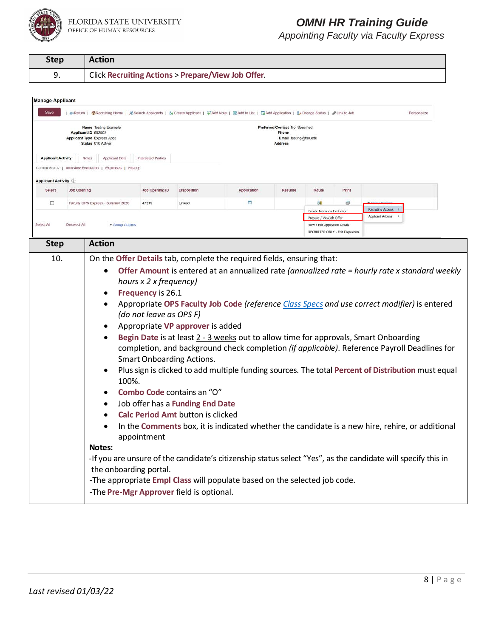

| <b>Step</b> | <b>Action</b>                                                |
|-------------|--------------------------------------------------------------|
|             | <b>Click Recruiting Actions &gt; Prepare/View Job Offer.</b> |

| <b>Manage Applicant</b>     |                                                                                                        |                                                                                                                                          |                                                                                       |                                                                                                                                                                                    |                                                                                                                                                        |        |                                                        |                                   |                                                                                                                                                                                                                                                                                                                                                                                                                                                                                                                                                                                                               |  |
|-----------------------------|--------------------------------------------------------------------------------------------------------|------------------------------------------------------------------------------------------------------------------------------------------|---------------------------------------------------------------------------------------|------------------------------------------------------------------------------------------------------------------------------------------------------------------------------------|--------------------------------------------------------------------------------------------------------------------------------------------------------|--------|--------------------------------------------------------|-----------------------------------|---------------------------------------------------------------------------------------------------------------------------------------------------------------------------------------------------------------------------------------------------------------------------------------------------------------------------------------------------------------------------------------------------------------------------------------------------------------------------------------------------------------------------------------------------------------------------------------------------------------|--|
| Save                        |                                                                                                        |                                                                                                                                          |                                                                                       |                                                                                                                                                                                    | d=Return   图Recruiting Home   為Search Applicants   de Create Applicant   こAdd Note   BAdd to List   EAdd Application   Le Change Status   PLink to Job |        |                                                        |                                   | Personalize                                                                                                                                                                                                                                                                                                                                                                                                                                                                                                                                                                                                   |  |
|                             | Name Testing Example<br>Applicant ID 682002<br><b>Applicant Type Express Appt</b><br>Status 010 Active |                                                                                                                                          |                                                                                       | <b>Preferred Contact Not Specified</b><br>Phone<br>Email testing@fsu.edu<br><b>Address</b>                                                                                         |                                                                                                                                                        |        |                                                        |                                   |                                                                                                                                                                                                                                                                                                                                                                                                                                                                                                                                                                                                               |  |
| <b>Applicant Activity</b>   |                                                                                                        | <b>Notes</b><br>Applicant Data                                                                                                           | <b>Interested Parties</b>                                                             |                                                                                                                                                                                    |                                                                                                                                                        |        |                                                        |                                   |                                                                                                                                                                                                                                                                                                                                                                                                                                                                                                                                                                                                               |  |
|                             |                                                                                                        | Current Status   Interview Evaluation   Expenses   History                                                                               |                                                                                       |                                                                                                                                                                                    |                                                                                                                                                        |        |                                                        |                                   |                                                                                                                                                                                                                                                                                                                                                                                                                                                                                                                                                                                                               |  |
| <b>Applicant Activity</b> 2 |                                                                                                        |                                                                                                                                          |                                                                                       |                                                                                                                                                                                    |                                                                                                                                                        |        |                                                        |                                   |                                                                                                                                                                                                                                                                                                                                                                                                                                                                                                                                                                                                               |  |
| Select                      | <b>Job Opening</b>                                                                                     |                                                                                                                                          | Job Opening ID                                                                        | Disposition                                                                                                                                                                        | Application                                                                                                                                            | Resume | Route                                                  | Print                             |                                                                                                                                                                                                                                                                                                                                                                                                                                                                                                                                                                                                               |  |
| o                           |                                                                                                        | Faculty OPS Express - Summer 2020                                                                                                        | 47219                                                                                 | Linked                                                                                                                                                                             | <b>COL</b>                                                                                                                                             |        |                                                        | 赑                                 |                                                                                                                                                                                                                                                                                                                                                                                                                                                                                                                                                                                                               |  |
|                             |                                                                                                        |                                                                                                                                          |                                                                                       |                                                                                                                                                                                    |                                                                                                                                                        |        | Create Interview Evaluation<br>Prepare / ViewJob Offer |                                   | <b>Recruiting Actions</b><br><b>Applicant Actions</b>                                                                                                                                                                                                                                                                                                                                                                                                                                                                                                                                                         |  |
| Select All                  | Deselect All                                                                                           | <b>Y</b> Group Actions                                                                                                                   |                                                                                       |                                                                                                                                                                                    |                                                                                                                                                        |        | View / Edit Application Details                        | RECRUITER ONLY - Edit Disposition |                                                                                                                                                                                                                                                                                                                                                                                                                                                                                                                                                                                                               |  |
|                             |                                                                                                        | <b>Action</b>                                                                                                                            |                                                                                       |                                                                                                                                                                                    |                                                                                                                                                        |        |                                                        |                                   |                                                                                                                                                                                                                                                                                                                                                                                                                                                                                                                                                                                                               |  |
| <b>Step</b>                 |                                                                                                        |                                                                                                                                          |                                                                                       |                                                                                                                                                                                    |                                                                                                                                                        |        |                                                        |                                   |                                                                                                                                                                                                                                                                                                                                                                                                                                                                                                                                                                                                               |  |
|                             |                                                                                                        | ٠<br>100%.<br>$\bullet$<br>$\bullet$<br>$\bullet$<br><b>Notes:</b><br>the onboarding portal.<br>-The Pre-Mgr Approver field is optional. | hours x 2 x frequency)<br>Frequency is 26.1<br>(do not leave as OPS F)<br>appointment | Appropriate VP approver is added<br><b>Smart Onboarding Actions.</b><br>Combo Code contains an "O"<br>Job offer has a Funding End Date<br><b>Calc Period Amt button is clicked</b> | -The appropriate Empl Class will populate based on the selected job code.                                                                              |        |                                                        |                                   | Appropriate OPS Faculty Job Code (reference Class Specs and use correct modifier) is entered<br>Begin Date is at least 2 - 3 weeks out to allow time for approvals, Smart Onboarding<br>completion, and background check completion (if applicable). Reference Payroll Deadlines for<br>Plus sign is clicked to add multiple funding sources. The total Percent of Distribution must equal<br>In the Comments box, it is indicated whether the candidate is a new hire, rehire, or additional<br>-If you are unsure of the candidate's citizenship status select "Yes", as the candidate will specify this in |  |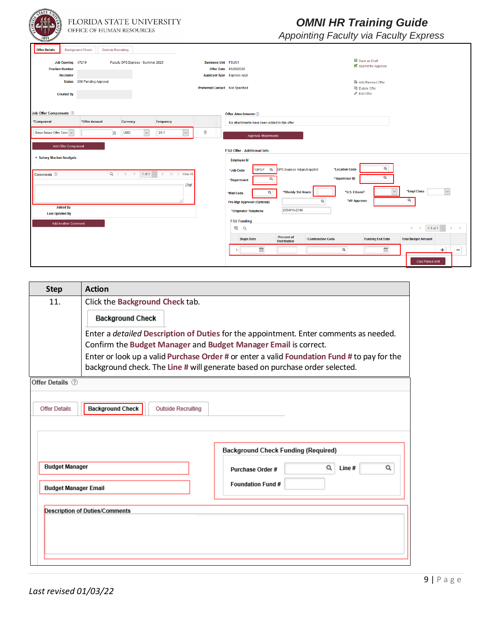| TATE U<br>FLORIDA STATE UNIVERSITY<br>OFFICE OF HUMAN RESOURCES                                                                                                                                                                   | <b>OMNI HR Training Guide</b><br>Appointing Faculty via Faculty Express                                                                                                                                                                                                                                                                                                        |
|-----------------------------------------------------------------------------------------------------------------------------------------------------------------------------------------------------------------------------------|--------------------------------------------------------------------------------------------------------------------------------------------------------------------------------------------------------------------------------------------------------------------------------------------------------------------------------------------------------------------------------|
| <b>Offer Details</b><br><b>Background Check</b><br>Outside Recruiting<br>Job Opening 47219<br>Faculty OPS Express - Summer 2020<br><b>Position Number</b><br><b>Recruiter</b><br>Status 006 Pending Approval<br><b>Created By</b> | Save as Draft<br><b>Business Unit FSU01</b><br>Submit for Approval<br>Offer Date 06/26/2020<br><b>Applicant Type</b> Express Appt<br>Add Revised Offer<br>Preferred Contact Not Specified<br><b>la Delete Offer</b><br>Edit Offer                                                                                                                                              |
| <b>Job Offer Components</b> 2<br>*Component<br>*Offer Amount<br>Currency<br>Frequency<br>Base Salary Offer Com ~<br>26.1<br><b>USD</b><br>骊<br>$\checkmark$                                                                       | <b>Offer Attachments</b> 2<br>No attachments have been added to this offer<br>盲<br>$\checkmark$<br><b>Approval Attachments</b>                                                                                                                                                                                                                                                 |
| Add Offer Component<br>▶ Salary Market Analysis                                                                                                                                                                                   | <b>FSU Offer - Additional Info</b><br><b>Employee Id</b>                                                                                                                                                                                                                                                                                                                       |
| $Q \quad   \quad   \quad   \quad   \quad  $<br><b>I</b> View All<br>Comments 2<br>$1$ of 1<br>$\mathbb{D}$<br>$\mathbf{H}$<br><b>Added By</b>                                                                                     | Q<br><b>OPS Express Adjunct Apptmt</b><br>*Location Code<br>OPS <sub>F</sub><br>$\alpha$<br>*Job Code<br>Q<br>*Supervisor ID<br>Q<br>*Department<br>医<br>*Empl Class<br>$\checkmark$<br>$\checkmark$<br>*Weekly Std Hours<br>*U.S. Citizen?<br>$\alpha$<br>*Mail Code<br>Q<br>*VP Approver<br>Q<br><b>Pre-Mgr Approver (Optional)</b><br>225/910-2346<br>*Originator Telephone |
| <b>Last Updated By</b><br><b>Add Another Comment</b>                                                                                                                                                                              | <b>FSU Funding</b><br>羁<br>$\alpha$<br>$\mathbb{R}$<br>$1-1$ of 1<br>*Percent of<br><b>Funding End Date</b><br><b>Total Budget Amount</b><br><b>Begin Date</b><br><b>*Combination Code</b><br><b>Distribution</b><br>m<br>$\frac{1}{\left  11 \right }$<br>$\mathsf Q$<br>÷<br>Calc Period Amt                                                                                 |

| <b>Step</b>           | <b>Action</b>                                                                                                                                                                                                                                                                                                                           |  |  |  |  |  |
|-----------------------|-----------------------------------------------------------------------------------------------------------------------------------------------------------------------------------------------------------------------------------------------------------------------------------------------------------------------------------------|--|--|--|--|--|
| 11.                   | Click the Background Check tab.                                                                                                                                                                                                                                                                                                         |  |  |  |  |  |
|                       | <b>Background Check</b>                                                                                                                                                                                                                                                                                                                 |  |  |  |  |  |
|                       | Enter a detailed Description of Duties for the appointment. Enter comments as needed.<br>Confirm the Budget Manager and Budget Manager Email is correct.<br>Enter or look up a valid Purchase Order # or enter a valid Foundation Fund # to pay for the<br>background check. The Line # will generate based on purchase order selected. |  |  |  |  |  |
| Offer Details 2       |                                                                                                                                                                                                                                                                                                                                         |  |  |  |  |  |
| <b>Offer Details</b>  | <b>Background Check</b><br><b>Outside Recruiting</b><br><b>Background Check Funding (Required)</b>                                                                                                                                                                                                                                      |  |  |  |  |  |
| <b>Budget Manager</b> | $\alpha$<br>Q<br>Line#<br>Purchase Order #                                                                                                                                                                                                                                                                                              |  |  |  |  |  |
|                       | Foundation Fund #<br><b>Budget Manager Email</b>                                                                                                                                                                                                                                                                                        |  |  |  |  |  |
|                       | <b>Description of Duties/Comments</b>                                                                                                                                                                                                                                                                                                   |  |  |  |  |  |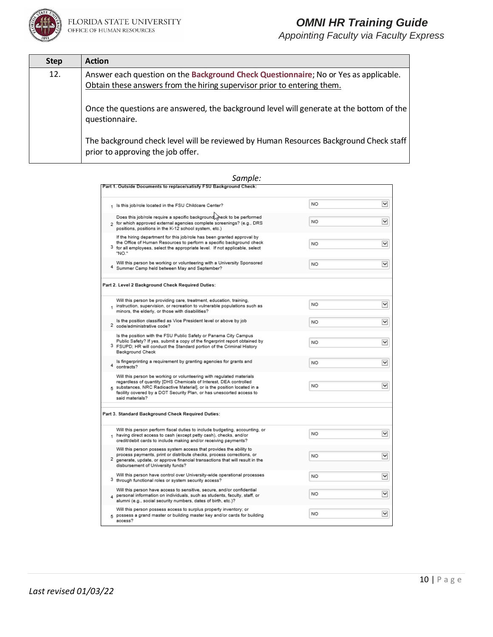

*Appointing Faculty via Faculty Express*

| <b>Step</b> | <b>Action</b>                                                                                                                                                   |
|-------------|-----------------------------------------------------------------------------------------------------------------------------------------------------------------|
| 12.         | Answer each question on the Background Check Questionnaire; No or Yes as applicable.<br>Obtain these answers from the hiring supervisor prior to entering them. |
|             | Once the questions are answered, the background level will generate at the bottom of the<br>questionnaire.                                                      |
|             | The background check level will be reviewed by Human Resources Background Check staff<br>prior to approving the job offer.                                      |

#### *Sample:*<br>Fart 1. Outside Documents to replace/satisfy FSU Background Check: **NO**  $\check{~}$ 1 Is this job/role located in the FSU Childcare Center? Does this job/role require a specific background  $\sqrt{\frac{1}{2}}$  eck to be performed 2 for which approved external agencies complete screenings? (e.g., DRS N<sub>O</sub>  $\checkmark$ positions, positions in the K-12 school system, etc.) If the hiring department for this job/role has been granted approval by the Office of Human Resources to perform a specific background check **NO**  $\checkmark$ 3 for all employees, select the appropriate level. If not applicable, select "NO." Will this person be working or volunteering with a University Sponsored N<sub>O</sub>  $\checkmark$ 4 Summer Camp held between May and September? Part 2. Level 2 Background Check Required Duties: Will this person be providing care, treatment, education, training, NO  $\check{~}$ 1 instruction, supervision, or recreation to vulnerable populations such as minors, the elderly, or those with disabilities? Is the position classified as Vice President level or above by job **NO**  $\checkmark$ 2 code/administrative code? Is the position with the FSU Public Safety or Panama City Campus Public Safety? If yes, submit a copy of the fingerprint report obtained by<br>3 FSUPD; HR will conduct the Standard portion of the Criminal History N<sub>O</sub>  $\check{~}$ Background Check Is fingerprinting a requirement by granting agencies for grants and<br>4 contracts? **NO**  $\checkmark$ Will this person be working or volunteering with regulated materials regardless of quantity [DHS Chemicals of Interest, DEA controlled **NO**  $\check{~}$ 5 substances, NRC Radioactive Material], or is the position located in a facility covered by a DOT Security Plan, or has unescorted access to said materials? Part 3. Standard Background Check Required Duties: Will this person perform fiscal duties to include budgeting, accounting, or 1 having direct access to cash (except petty cash), checks, and/or NO  $\check{~}$ credit/debit cards to include making and/or receiving payments? Will this person possess system access that provides the ability to<br>process payments, print or distribute checks, process corrections, or NO  $\check{~}$ 2 generate, update, or approve financial transactions that will result in the disbursement of University funds? Will this person have control over University-wide operational processes NO  $\check{ }$ 3 through functional roles or system security access? Will this person have access to sensitive, secure, and/or confidential N<sub>O</sub>  $\check{~}$  $\,$  personal information on individuals, such as students, faculty, staff, or alumni (e.g., social security numbers, dates of birth, etc.)? Will this person possess access to surplus property inventory; or NO  $\check{~}$ 5 possess a grand master or building master key and/or cards for building access?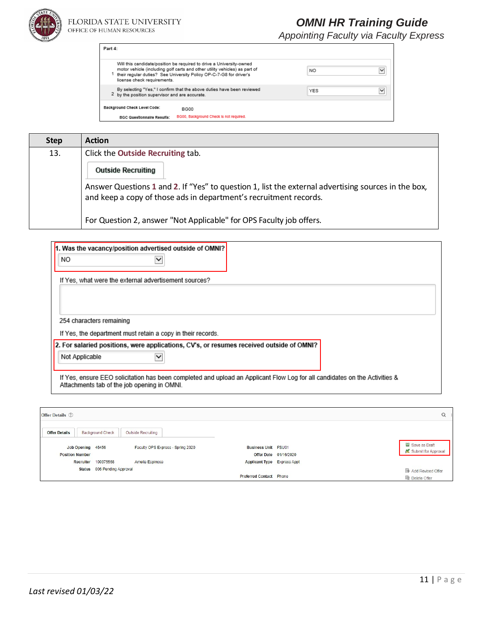

| Part 4:                                                                                                                                                                                                                                                 |                           |
|---------------------------------------------------------------------------------------------------------------------------------------------------------------------------------------------------------------------------------------------------------|---------------------------|
| Will this candidate/position be required to drive a University-owned<br>motor vehicle (including golf carts and other utility vehicles) as part of<br>their regular duties? See University Policy OP-C-7-G8 for driver's<br>license check requirements. | NO.                       |
| By selecting "Yes," I confirm that the above duties have been reviewed<br>2 by the position supervisor and are accurate.                                                                                                                                | $\check{ }$<br><b>YES</b> |
| Background Check Level Code:<br><b>BG00</b>                                                                                                                                                                                                             |                           |
| BG00, Background Check is not reguired.<br><b>BGC Questionnaire Results:</b>                                                                                                                                                                            |                           |

| <b>Step</b> | <b>Action</b>                                                                                                                                                            |
|-------------|--------------------------------------------------------------------------------------------------------------------------------------------------------------------------|
| 13.         | Click the Outside Recruiting tab.                                                                                                                                        |
|             | <b>Outside Recruiting</b>                                                                                                                                                |
|             | Answer Questions 1 and 2. If "Yes" to question 1, list the external advertising sources in the box,<br>and keep a copy of those ads in department's recruitment records. |
|             | For Question 2, answer "Not Applicable" for OPS Faculty job offers.                                                                                                      |

| 1. Was the vacancy/position advertised outside of OMNI?                                                                                                                   |
|---------------------------------------------------------------------------------------------------------------------------------------------------------------------------|
| NO.                                                                                                                                                                       |
| If Yes, what were the external advertisement sources?                                                                                                                     |
|                                                                                                                                                                           |
|                                                                                                                                                                           |
|                                                                                                                                                                           |
| 254 characters remaining                                                                                                                                                  |
| If Yes, the department must retain a copy in their records.                                                                                                               |
| 2. For salaried positions, were applications, CV's, or resumes received outside of OMNI?                                                                                  |
| Not Applicable                                                                                                                                                            |
|                                                                                                                                                                           |
| If Yes, ensure EEO solicitation has been completed and upload an Applicant Flow Log for all candidates on the Activities &<br>Attachments tab of the job opening in OMNI. |

| Offer Details 2                           |                             |                                                         |                                    |                       |                     |
|-------------------------------------------|-----------------------------|---------------------------------------------------------|------------------------------------|-----------------------|---------------------|
| <b>Offer Details</b><br>Job Opening 46456 | <b>Background Check</b>     | Outside Recruiting<br>Faculty OPS Express - Spring 2020 | <b>Business Unit FSU01</b>         |                       | Save as Draft       |
|                                           |                             |                                                         |                                    |                       | Submit for Approval |
| <b>Position Number</b>                    |                             |                                                         |                                    | Offer Date 01/16/2020 |                     |
| Recruiter                                 | 100375568                   | Amelia Espinosa                                         | <b>Applicant Type Express Appt</b> |                       |                     |
|                                           | Status 006 Pending Approval |                                                         |                                    |                       | Add Revised Offer   |
|                                           |                             |                                                         | <b>Preferred Contact Phone</b>     |                       | h Delete Offer      |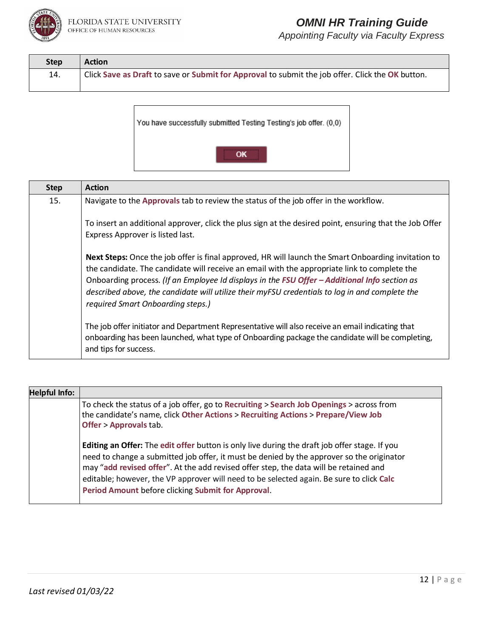

| <b>Step</b> | <b>Action</b>                                                                                    |
|-------------|--------------------------------------------------------------------------------------------------|
| 14.         | Click Save as Draft to save or Submit for Approval to submit the job offer. Click the OK button. |



| <b>Step</b> | <b>Action</b>                                                                                                                                                                                                                                                                                                                                                                                                                               |
|-------------|---------------------------------------------------------------------------------------------------------------------------------------------------------------------------------------------------------------------------------------------------------------------------------------------------------------------------------------------------------------------------------------------------------------------------------------------|
| 15.         | Navigate to the Approvals tab to review the status of the job offer in the workflow.                                                                                                                                                                                                                                                                                                                                                        |
|             | To insert an additional approver, click the plus sign at the desired point, ensuring that the Job Offer<br>Express Approver is listed last.                                                                                                                                                                                                                                                                                                 |
|             | Next Steps: Once the job offer is final approved, HR will launch the Smart Onboarding invitation to<br>the candidate. The candidate will receive an email with the appropriate link to complete the<br>Onboarding process. (If an Employee Id displays in the FSU Offer - Additional Info section as<br>described above, the candidate will utilize their myFSU credentials to log in and complete the<br>required Smart Onboarding steps.) |
|             | The job offer initiator and Department Representative will also receive an email indicating that<br>onboarding has been launched, what type of Onboarding package the candidate will be completing,<br>and tips for success.                                                                                                                                                                                                                |

| <b>Helpful Info:</b> |                                                                                                                                                                                                                                                                                                                                                                                                                                              |
|----------------------|----------------------------------------------------------------------------------------------------------------------------------------------------------------------------------------------------------------------------------------------------------------------------------------------------------------------------------------------------------------------------------------------------------------------------------------------|
|                      | To check the status of a job offer, go to Recruiting > Search Job Openings > across from<br>the candidate's name, click Other Actions > Recruiting Actions > Prepare/View Job<br><b>Offer &gt; Approvals tab.</b>                                                                                                                                                                                                                            |
|                      | <b>Editing an Offer:</b> The edit offer button is only live during the draft job offer stage. If you<br>need to change a submitted job offer, it must be denied by the approver so the originator<br>may "add revised offer". At the add revised offer step, the data will be retained and<br>editable; however, the VP approver will need to be selected again. Be sure to click Calc<br>Period Amount before clicking Submit for Approval. |